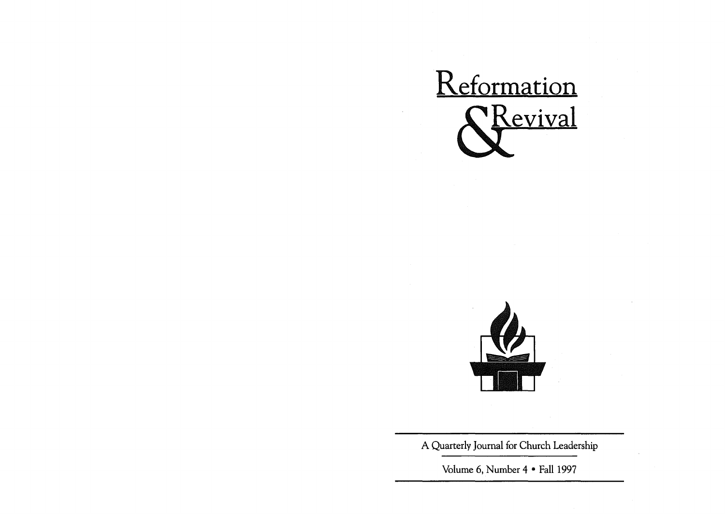



A Quarterly Journal for Church Leadership

Volume 6, Number 4 • Fall 1997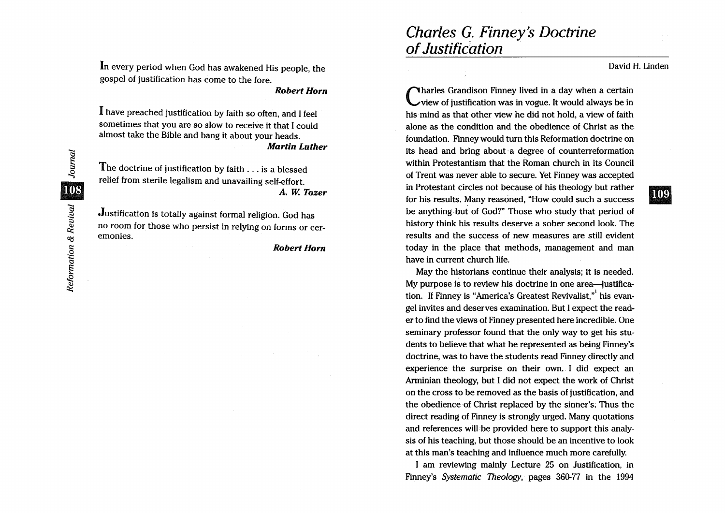In every period when God has awakened His people, the gospel of justification has come to the fore.

*Robert Horn* 

I have preached justification by faith so often, and I feel sometimes that you are so slow to receive it that I could almost take the Bible and bang it about your heads. *Martin Luther* 

The doctrine of justification by faith ... is a blessed relief from sterile legalism and unavailing self-effort. *A.* W. *Tozer* 

Justification is totally against formal religion. God has no room for those who persist in relying on forms or ceremonies.

*Robert Horn* 

David H. Linden

**109** 

Charles Grandison Finney lived in a day when a certain view of justification was in vogue. It would always be in his mind as that other view he did not hold, a view of faith alone as the condition and the obedience of Christ as the foundation. Finney would turn this Reformation doctrine on its head and bring about a degree of counterreformation within Protestantism that the Roman church in its Council of Trent was never able to secure. Yet Finney was accepted in Protestant circles not because of his theology but rather for his results. Many reasoned, "How could such a success be anything. but of God?" Those who study that period of history think his results deserve a sober second look. The results and the success of new measures are still evident today in the place that methods, management and man have in current church life.

Charles G. Finney's Doctrine

of Justification .

May the historians continue their analysis; it is needed. My purpose is to review his doctrine in one area-justification. If Finney is "America's Greatest Revivalist." his evangel invites and deserves examination. But I expect the reader to find the views of Finney presented here incredible. One seminary professor found that the only way to get his students to believe that what he represented as being Finney's doctrine, was to have the students read Finney directly and experience the surprise on their own. I did expect an Arminian theology, but I did not expect the work of Christ on the cross to be removed as the basis of justification, and the obedience of Christ replaced by the sinner's; Thus the direct reading of Finney is strongly urged. Many quotations and references will be provided here to support this analysis of his teaching, but those should be an incentive to look at this man's teaching and influence much more carefully.

I am reviewing mainly Lecture 25 on Justification, in Finney's *Systematic Theology,* pages 360-77 in the 1994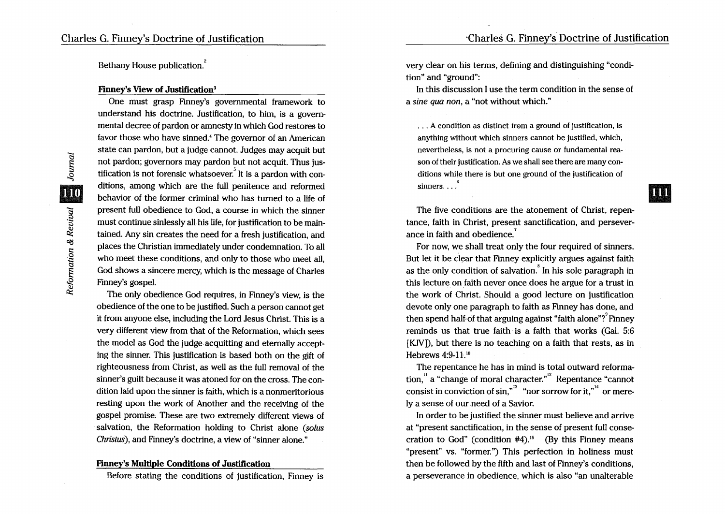Bethany House publication.<sup>2</sup>

#### Finney's View of Justification3

One must grasp Finney's governmental framework to understand his doctrine. Justification, to him, is a governmental decree of pardon or amnesty in which God restores to favor those who have sinned.4 The governor of an American state can pardon, but a judge cannot. Judges may acquit but not pardon; governors may pardon but not acquit. Thus jus tification is not forensic whatsoever. It is a pardon with conditions, among which are the full penitence and reformed behavior of the former criminal who has turned to a life of present full obedience to God, a course in which the sinner must continue sinlessly all his life, for justification to be maintained. Any sin creates the need for a fresh justification, and places the Christian immediately under condemnation. To all who meet these conditions, and only to those who meet all, God shows a sincere mercy, which is the message of Charles Finney's gospel.

The only obedience God requires, in Finney's view, is the obedience of the one to be justified. Such a person cannot get it from anyone else, including the Lord Jesus Christ. This is a very different view from that of the Reformation, which sees the model as God the judge acquitting and eternally accepting the sinner. This justification is based both on the gift of righteousness from Christ, as well as the full removal of the sinner's guilt because it was atoned for on the cross. The condition laid upon the sinner is faith, which is a nonmeritorious resting upon the work of Another and the receiving of the gospel promise. These are two extremely different views of salvation, the Reformation holding to Christ alone *(solus Christus*), and Finney's doctrine, a view of "sinner alone."

# Finney's Multiple Conditions of Justification

Before stating the conditions of justification, Finney is

very clear on his terms, defining and distinguishing "condition" and "ground":

In this discussion I use the term condition in the sense of a *sine qua non,* a "not without which."

... A condition as distinct from a ground of justification, is anything without which sinners cannot be justified, which, nevertheless, is not a procuring cause or fundamental reason of their justification. As we shall see there are many conditions while there is but one ground of the justification of sinners....  $\int_{0}^{6}$ 

The five conditions are the atonement of Christ, repentance, faith in Christ, present sanctification, and perseverance in faith and obedience.<sup>7</sup>

For now, we shall treat only the four required of sinners. But let it be clear that Finney explicitly argues against faith as the only condition of salvation. $\sin^8$  In his sole paragraph in this lecture on faith never once does he argue for a trust in the work of Christ. Should a good lecture on justification devote only one paragraph to faith as Finney has done, and<br>then spend half of that arguing against "faith alone"? Finney reminds us that true faith is a faith that works (Gal. 5:6 [KJV]), but there is no teaching on a faith that rests, as in Hebrews 4:9-11.<sup>10</sup>

The repentance he has in mind is total outward reforma-  $\chi$ <sub>11</sub> a "change of moral character."<sup>12</sup> Repentance "cannot" consist in conviction of sin," $3 \text{ }}$  "nor sorrow for it, $n_{\text{}}^{14}$  or merely a sense of our need of a Savior.

In order to be justified the sinner must believe and arrive at "present sanctification, in the sense of present full consecration to God" (condition  $#4$ ).<sup>15</sup> (By this Finney means "present" vs. "former.") This perfection in holiness must then be followed by the fifth and last of Finney's conditions, a perseverance in obedience, which is also "an unalterable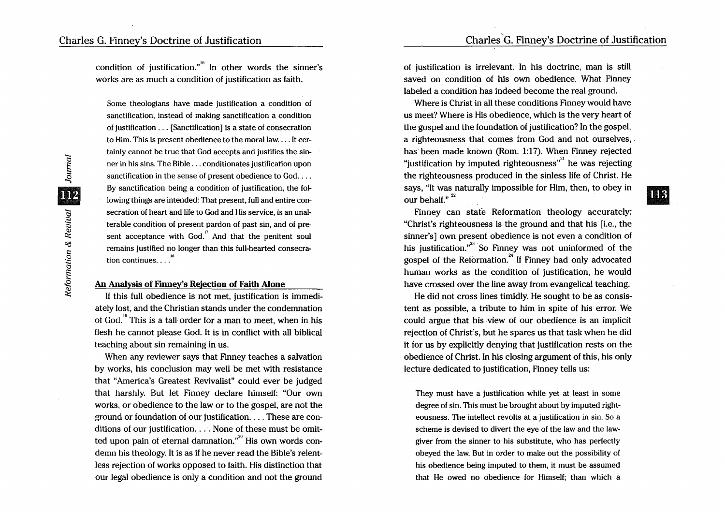condition of justification."<sup>16</sup> In other words the sinner's works are as much a condition of justification as faith.

Some theologians have made justification a condition of sanctification, instead of making sanctification a condition of justification ... [Sanctification] is a state of consecration to Him. This is present obedience to the moral law .... It certainly cannot be true that God accepts and justifies the sinner in his sins. The Bible ... conditionates justification upon sanctification in the sense of present obedience to God.... By sanctification being a condition of justification, the following things are intended: That present, full and entire consecration of heart and life to God and His service, is an unalterable condition of present pardon of past sin, and of pre sent acceptance with  $God.$ <sup>17</sup> And that the penitent soul remains justified no longer than this full-hearted consecration continues.... $^{18}$ 

#### An Analysis of Finney's Rejection of Faith Alone

If this full obedience is not met, justification is immediately lost, and the Christian stands under the condemnation of God.<sup>19</sup> This is a tall order for a man to meet, when in his flesh he cannot please God. It is in conflict with all biblical teaching about sin remaining in us.

When any reviewer says that Finney teaches a salvation by works, his conclusion may well be met with resistance that "America's Greatest Revivalist" could ever be judged that harshly. But let Finney declare himself: "Our own works, or obedience to the law or to the gospel, are not the ground or foundation of our justification .... These are conditions of our justification.  $\ldots$  None of these must be omit-<br>ted upon pain of eternal damnation."<sup>20</sup> His own words condemn his theology. It is as if he never read the Bible's relentless rejection of works opposed to faith. His distinction that our legal obedience is only a condition and not the ground

of justification is irrelevant. In his doctrine, man is still saved on condition of his own obedience. What Finney labeled a condition has indeed become the real ground.

Where is Christ in all these conditions Finney would have us meet? Where is His obedience, which is the very heart of the gospel and the foundation of justification? In the gospel, a righteousness that comes from God and not ourselves, . has been made known (Rom. 1:17). When Finney rejected "justification by imputed righteousness" he was rejecting the righteousness produced in the sinless life of Christ. He says, "It was naturally impossible for Him, then, to obey in says, "It was naturally impossible for Him, then, to obey in  $\blacksquare$ 

Finney can state Reformation theology accurately: "Christ's righteousness is the ground and that his [i.e., the sinner's] own present obedience is not even a condition of his iustification. $n^{23}$  So Finney was not uninformed of the  $\frac{1}{20}$  gospel of the Reformation.<sup>24</sup> If Finney had only advocated human works as the condition of justification, he would have crossed over the line away from evangelical teaching.

He did not cross lines timidly. He sought to be as consistent as possible, a tribute to him in spite of his error. We could argue that his view of our obedience is an implicit rejection of Christ's, but he spares us that task when he did it for us by explicitly denying that justification rests on the obedience of Christ. In his closing argument of this, his only lecture dedicated to justification, Finney tells us:

They must have a justification while yet at least in some degree of sin. This must be brought about by imputed righteousness. The intellect revolts at a justification in sin. So a scheme is devised to divert the eye of the law and the lawgiver from the sinner to his substitute, who has perfectly obeyed the law. But in order to make out the possibility of his obedience being imputed to them, it must be assumed that He owed no obedience for Himself; than which a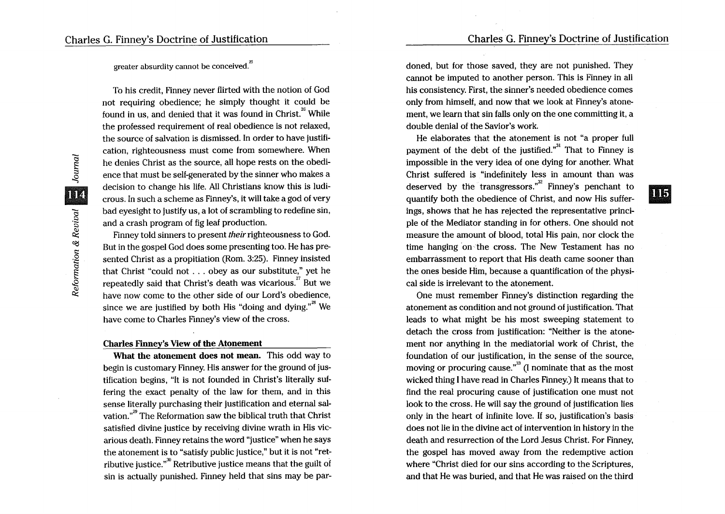**III**5

greater absurdity cannot be conceived.<sup>25</sup>

To his credit, Finney never flirted with the notion of God not requiring obedience; he simply thought it could be found in us, and denied that it was found in Christ.<sup>26</sup> While the professed requirement of real obedience is not relaxed, the source of salvation is dismissed. In order to have justification, righteousness must come from somewhere. When he denies Christ as the source, all hope rests on the obedience that must be self-generated by the sinner who makes a decision to change his life. All Christians know this is ludicrous. In such a scheme as Finney's, it will take a god of very bad eyesight to justify us, a lot of scrambling to redefine sin, and a crash program of fig leaf production.

Finney told sinners to present *their* righteousness to God. But in the gospel God does some presenting too. He has presented Christ as a propitiation (Rom. 3:25). Finney insisted that Christ "could not . . . obey as our substitute," yet he repeatedly said that Christ's death was vicarious.<sup>27</sup> But we have now come to the other side of our Lord's obedience. since we are justified by both His "doing and dying."<sup>28</sup> We have come to Charles Finney's view of the cross.

# Charles Finney's View of the Atonement

What the atonement does not mean. This odd way to begin is customary Finney. His answer for the ground of justification begins, "It is not founded in Christ's literally suffering the exact penalty of the law for them, and in this sense literally purchasing their justification and eternal salvation."<sup>29</sup> The Reformation saw the biblical truth that Christ satisfied divine justice by receiving divine wrath in His vicarious death. Finney retains the word "justice" when he says the atonement is to "satisfy public justice," but it is not "retributive justice." $\mu^{30}$  Retributive justice means that the guilt of sin is actually punished. Finney held that sins may be pardoned, but for those saved, they are not punished. They cannot be imputed to another person. This is Finney in all his consistency. First, the sinner's needed obedience comes only from himself, and now that we look at Finney's atonement, we learn that sin falls only on the one committing it, a double denial of the Savior's work.

He elaborates that the atonement is not "a proper full payment of the debt of the justified. $n^{31}$  That to Finney is impossible in the very idea of one dying for another. What Christ suffered is "indefinitely less in amount than was deserved by the transgressors." Finney's penchant to quantify both the obedience of Christ, and now His sufferings, shows that he has rejected the representative principle of the Mediator standing in for others. One should not measure the amount of blood, total His pain, nor clock the time hanging 'on the cross. The New Testament has no embarrassment to report that His death came sooner than the ones beside Him, because a quantification of the physical side is irrelevant to the atonement.

One must remember Finney's distinction regarding the atonement as condition and not ground of justification. That leads to what might be his most sweeping statement to detach the cross from justification: "Neither is the atonement nor anything in the mediatorial work of Christ, the foundation of our justification, in the sense of the source, moving or procuring cause. $^{33}$  (I nominate that as the most wicked thing I have read in Charles Finney.) It means that to find the real procuring cause of justification one must not look to the cross. He will say the ground of justification lies only in the heart of infinite love. If so, justification's basis does not lie in the divine act of intervention in history in the death and resurrection of the Lord Jesus Christ. For Finney, the gospel has moved away from the redemptive action where "Christ died for our sins according to the Scriptures, and that He was buried, and that He was raised on the third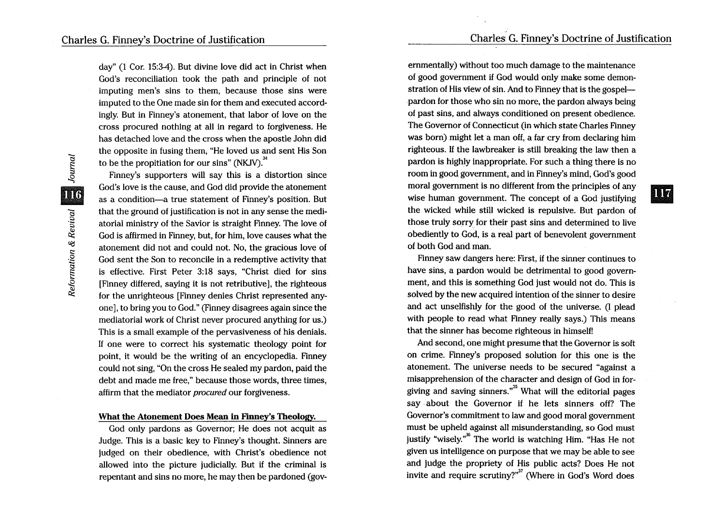day" (1 Cor. 15:3-4). But divine love did act in Christ when God's reconciliation took the path and principle of not imputing men's sins to them, because those sins were imputed to the One made sin for them and executed accordingly. But in Finney's atonement, that labor of love on the cross procured nothing at all in regard to forgiveness. He has detached love and the cross when the apostle John did the opposite in fusing them, "He loved us and sent His Son to be the propitiation for our sins" (NKJV). $34$ 

Finney's supporters will say this is a distortion since God's love is the cause, and God did provide the atonement as a condition-a true statement of Finney's position. But that the ground of justification is not in any sense the mediatorial ministry of the Savior is straight Finney. The love of God is affirmed in Finney, but, for him, love causes what the atonement did not and could not. No, the gracious love of God sent the Son to reconcile in a redemptive activity that is effective. First Peter 3:18 says, "Christ died for sins [Finney differed, saying it is not retributive], the righteous for the unrighteous [Finney denies Christ represented anyone], to bring you to God." (Finney disagrees again since the mediatorial work of Christ never procured anything for us.) This is a small example of the pervasiveness of his denials. If one were to correct his systematic theology point for point, it would be the writing of an encyclopedia. Finney could not sing, "On the cross He sealed my pardon, paid the debt and made me free," because those words, three times, affirm that the mediator *procured* our forgiveness.

#### What the Atonement Does Mean in Finney's Theology.

God only pardons as Governor; He does not acquit as Judge. This is a basic key to Finney's thought. Sinners are judged on their obedience, with Christ's obedience not allowed into the picture judicially. But if the criminal is repentant and sins no more, he may then be pardoned (governmentally) without too much damage to the maintenance of good government if God would only make some demonstration of His view of sin. And to Finney that is the gospelpardon for those who sin no more, the pardon always being of past sins, and always conditioned on present obedience. The Governor of Connecticut (in which state Charles Finney was born) might let a man off, a far cry from declaring him righteous. If the lawbreaker is still breaking the law then a pardon is highly inappropriate. For such a thing there is no room in good government, and in Finney's mind, God's good moral government is no different from the principles of any  $\frac{1}{2}$ wise human government. The concept of a God justifying the wicked while still wicked is repulsive. But pardon of those truly sorry for their past sins and determined to live obediently to God, is a real part of benevolent government of both God and man.

Finney saw dangers here: First, if the sinner continues to have sins, a pardon would be detrimental to good government, and this is something God just would not do. This is solved by the new acquired intention of the sinner to desire and act unselfishly for the good of the universe. (I plead with people to read what Finney really says.) This means that the sinner has become righteous in himself!

And second, one might presume that the Governor is soft on crime. Finney's proposed solution for this one is the atonement. The universe needs to be secured "against a misapprehension of the character and design of God in forgiving and saving sinners. $n^{35}$  What will the editorial pages say about the Governor if he lets sinners off? The Governor's commitment to law and good moral government must be upheld against all misunderstanding, so God must justify "wisely."<sup>36</sup> The world is watching Him. "Has He not given us intelligence on purpose that we may be able to see and judge the propriety of His public acts? Does He not invite and require scrutiny?"<sup>37</sup> (Where in God's Word does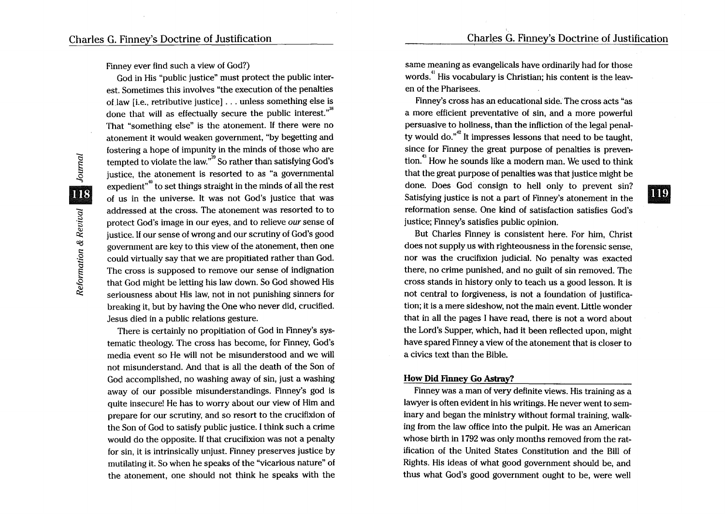Charles G. Finney's·Doctrine of Justification

119

Finney ever find such a view of God?)

God in His "public justice" must protect the public interest. Sometimes this involves "the execution of the penalties of law *[i.e., retributive justice]...* unless something else is done that will as effectually secure the public interest. $"$ <sup>38</sup> That "something else" is the atonement. If there were no atonement it would weaken government, "by begetting and fostering a hope of impunity in the minds of those who are tempted to violate the law."<sup>39</sup> So rather than satisfying God's justice, the atonement is resorted to as "a governmental expedient<sup>"</sup> to set things straight in the minds of all the rest of us in the universe. It was not God's justice that was addressed at the cross. The atonement was resorted to to protect God's image in our eyes, and to relieve *our* sense of justice. If our sense of wrong and our scrutiny of God's good government are key to this view of the atonement, then one could virtually say that we are propitiated rather than God. The cross is supposed to remove our sense of indignation that God might be letting his law down. So God showed His seriousness about His law, not in not punishing sinners for breaking it, but by having the One who never did, crucified. Jesus died in a public relations gesture.

There is certainly no propitiation of God in Finney's systematic theology. The cross has become, for Finney, God's media event so He will not be misunderstood and we will not misunderstand. And that is all the death of the Son of God accomplished, no washing away of sin, just a washing away of our possible misunderstandings. Finney's god is quite insecure! He has to worry about our view of Him and prepare for our scrutiny, and so resort to the crucifixion of the Son of God to satisfy public justice. I think such a crime would do the opposite. If that crucifixion was not a penalty for sin, it is intrinsically unjust. Finney preserves justice by mutilating it. So when he speaks of the "vicarious nature" of the atonement, one should not think he speaks with the same meaning as evangelicals have ordinarily had for those words.<sup>41</sup> His vocabulary is Christian; his content is the leaven of the Pharisees.

Finney's cross has an educational side. The cross acts "as a more efficient preventative of sin, and a more powerful persuasive to holiness, than the infliction of the legal penalty would do. $n^2$  It impresses lessons that need to be taught, since for Finney the great purpose of penalties is prevention.<sup>43</sup> How he sounds like a modern man. We used to think that the great purpose of penalties was that justice might be done. Does God consign to hell only to prevent sin? Satisfying justice is not a part of Finney's atonement in the reformation sense. One kind of satisfaction satisfies God's justice; Finney's satisfies public opinion.

But Charles Finney is consistent here. For him, Christ does not supply us with righteousness in the forensic sense, nor was the crucifixion judicial. No penalty was exacted there, no crime punished, and no guilt of sin removed. The cross stands in history only to teach us a good lesson. It is not central to forgiveness, is not a foundation of justification; it is a mere sideshow, not the main event. Little wonder that in all the pages I have read, there is not a word about the Lord's Supper, which, had it been reflected upon, might have spared Finney a view of the atonement that is closer to a civics text than the Bible.

#### How Did Finney Go Astray?

Finney was a man of very definite views. His training as a lawyer is often evident in his writings. He never went to seminary and began the ministry without formal training, walking from the law office into the pulpit. He was an American whose birth in 1792 was only months removed from the ratification of the United States Constitution and the Bill of Rights. His ideas of what good government should be, and thus what God's good government ought to be, were well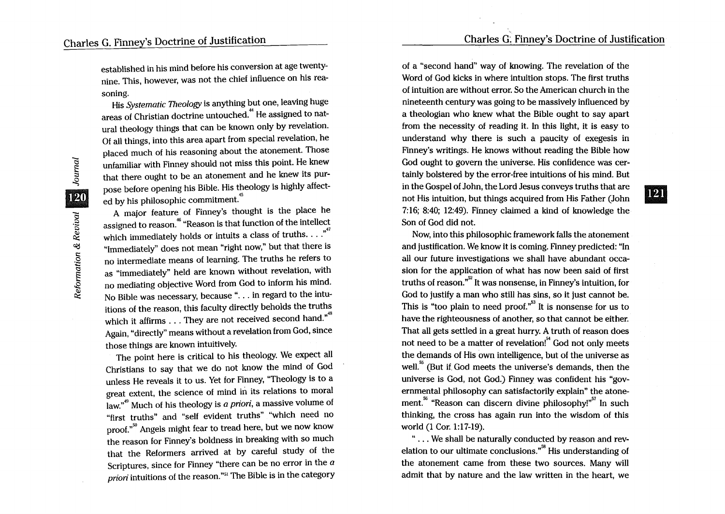**121** 

established in his mind before his conversion at age twentynine. This, however, was not the chief influence on his reasoning.

His *Systematic Theology* is anything but one, leaving huge areas of Christian doctrine untouched. 44 He assigned to natural theology things that can be known only by revelation. Of all things, into this area apart from special revelation, he placed much of his reasoning about the atonement. Those unfamiliar with Finney should not miss this point. He knew that there ought to be an atonement and he knew its purpose before opening his Bible. His theology is highly affect- .<br>ed by his philosophic commitment.<sup>45</sup>

A major feature of Finney's thought is the place he assigned to reason.<sup>46</sup> "Reason is that function of the intellect which immediately holds or intuits a class of truths...."<sup>47</sup> "Immediately" does not mean "right now," but that there is no intermediate means of learning. The truths he refers to as "immediately" held are known without revelation, with no mediating objective Word from God to inform his mind. No Bible was necessary, because ". . . in regard to the intuitions of the reason, this faculty directly beholds the truths which it affirms ... They are not received second hand."<sup>48</sup> Again, "directly" means without a revelation from God, since those things are known intuitively.

The point here is critical to his theology. We expect all Christians to say that we do not know the mind of God unless He reveals it to us. Yet for Finney, "Theology is to a great extent, the science of mind in its relations to moral law."<sup>49</sup> Much of his theology is *a priori*, a massive volume of "first truths" and "self evident truths" "which need no proof.<sup>"50</sup> Angels might fear to tread here, but we now know the reason for Finney's boldness in breaking with so much that the Reformers arrived at by careful study of the Scriptures, since for Finney "there can be no error in the  $a$ *priori* intuitions of the reason."<sup>51</sup> The Bible is in the category of a "second hand" way of knowing. The revelation of the Word of God kicks in where intuition stops. The first truths of intuition are without error. So the American church in the nineteenth century was going to be massively influenced by a theologian who knew what the Bible ought to say apart from the necessity of reading it. In this light, it is easy to understand why there is such a paucity of exegesis in Finney's writings. He knows without reading the Bible how God ought to govern the universe. His confidence was certainly bolstered by the error-free intuitions of his mind. But in the Gospel of John, the Lord Jesus conveys truths that are not His intuition, but things acquired from His Father (John 7:16; 8:40; 12:49). Finney claimed a kind of knowledge the Son of God did not.

,

Now, into this philosophic framework falls the atonement and justification. We know it is coming. Finney predicted: "In all our future investigations we shall have abundant occasion for the application of what has now been said of first truths of reason."<sup>52</sup> It was nonsense, in Finney's intuition, for God to justify a man who still has sins, so it just cannot be. This is "too plain to need proof."<sup>53</sup> It is nonsense for us to have the righteousness of another, so that cannot be either. That all gets settled in a great hurry. A truth of reason does not need to be a matter of revelation!<sup>54</sup> God not only meets the demands of His own intelligence, but of the universe as well.<sup>55</sup> (But if. God meets the universe's demands, then the universe is God, not God.) Finney was confident his "governmental philosophy can satisfactorily explain" the atonement.<sup>56</sup> "Reason can discern divine philosophy!"<sup>57</sup> In such thinking, the cross has again run into the wisdom of this world (1 Cor. 1:17-19).

" ... We shall be naturally conducted by reason and revelation to our ultimate conclusions.<sup>58</sup> His understanding of the atonement came from these two sources. Many will admit that by nature and the law written in the heart, we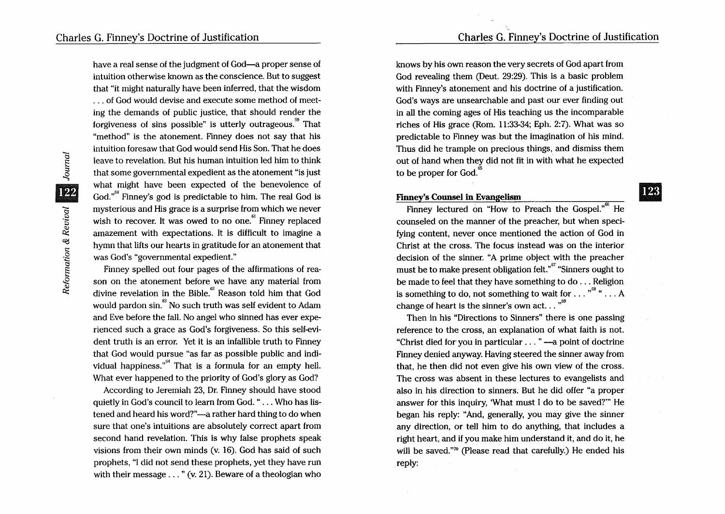have a real sense of the judgment of God-a proper sense of intuition otherwise known as the conscience. But to suggest that "it might naturally have been inferred, that the wisdom ... of God would devise and execute some method of meeting the demands of public justice, that should render the forgiveness of sins possible" is utterly outrageous. That "method" is the atonement. Finney does not say that his intuition foresaw that God would send His Son. That he does leave to revelation. But his human intuition led him to think that some governmental expedient as the atonement "is just what might have been expected of the benevolence of  $God.$ <sup> $60$ </sup> Finney's god is predictable to him. The real God is mysterious and His grace is a surprise from which we never wish to recover. It was owed to no one.  $F$  Finney replaced amazement with expectations. It is difficult to imagine a hymn that lifts our hearts in gratitude for an atonement that was God's "governmental expedient."

Finney spelled out four pages of the affirmations of reason on the atonement before we have any material from divine revelation in the Bible. $e^{62}$  Reason told him that God would pardon sin.<sup>63</sup> No such truth was self evident to Adam and Eve before the fall. No angel who sinned has ever experienced such a grace as God's forgiveness. So this self-evident truth is an error. Yet it is an infallible truth to Finney that God would pursue "as far as possible public and indi vidual happiness."<sup>64</sup> That is a formula for an empty hell. What ever happened to the priority of God's glory as God?

According to Jeremiah 23, Dr. Finney should have stood quietly in God's council to learn from God. " ... Who has listened and heard his word?"-a rather hard thing to do when sure that one's intuitions are absolutely correct apart from second hand revelation. This is why false prophets speak visions from their own minds (v. 16). God has said of such prophets, "I did not send these prophets, yet they have run with their message . . . " (v. 21). Beware of a theologian who knows by his own reason the very secrets of God apart from God revealing them (Deut. 29:29). This is a basic problem with Finney's atonement and his doctrine of a justification. God's ways are unsearchable and past our ever finding out in all the coming ages of His teaching us the incomparable riches of His grace (Rom. 11:33-34; Eph. 2:7). What was so predictable to Finney was but the imagination of his mind. Thus did he trample on precious things, and dismiss them out of hand when they did not fit in with what he expected to be proper for God. $65$ 

## Finney's Counsel in Evangelism

Finney lectured on "How to Preach the Gospel."<sup>66</sup> He counseled on the manner of the preacher, but when specifying content, never once mentioned the action of God in Christ at the cross. The focus instead was on the interior decision of the sinner. "A prime object with the preacher must be to make present obligation felt.<sup>"</sup> "Sinners ought to" be made to feel that they have something to do ... Religion is something to do, not something to wait for  $\dots$  " $^{68}$ "  $\dots$  A change of heart is the sinner's own act.  $\cdot$ . "<sup>69</sup>

Then in his "Directions to Sinners" there is one passing reference to the cross, an explanation of what faith is not. "Christ died for you in particular . . . " — a point of doctrine Finney denied anyway. Having steered the sinner away from that, he then did not even give his own view of the cross. The cross was absent in these lectures to evangelists and also in his direction to sinners. But he did offer "a proper answer for this inquiry, 'What must I do to be saved?'" He began his reply: "And, generally, you may give the sinner any direction, or tell him to do anything, that includes a right heart, and if you make him understand it, and do it, he will be saved."<sup>70</sup> (Please read that carefully.) He ended his reply: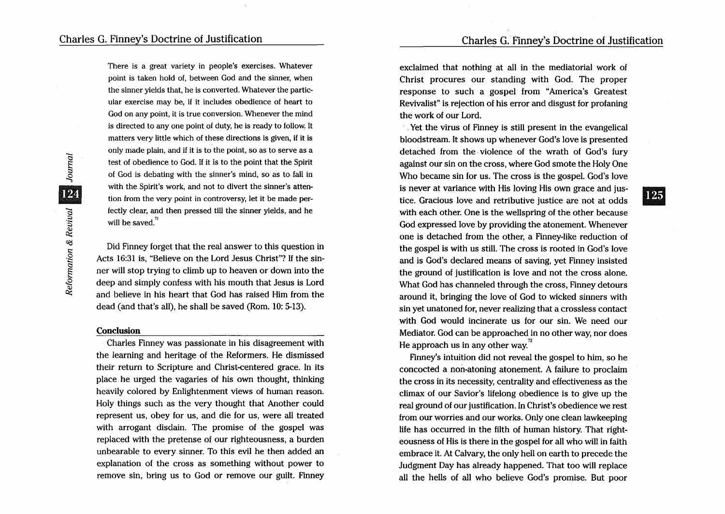**125** 

There is a great variety in people's exercises. Whatever point is taken hold of, between God and the sinner, when the sinner yields that, he is converted. Whatever the particular exercise may be, if it includes obedience of heart to God on any point, it is true conversion. Whenever the mind is directed to any one point of duty, he is ready to follow. It matters very little which of these directions is given, if it is only made plain, and if it is to the point, so as to serve as a test of obedience to God. If it is to the point that the Spirit of God is debating with the sinner's mind, so as to fall in with the Spirit's work, and not to divert the sinner's attention from the very point in controversy, let it be made perfectly clear, and then pressed till the sinner yields, and he will be saved. $\frac{\pi}{2}$ 

Did Finney forget that the real answer to this question in Acts 16:31 is, "Believe on the Lord Jesus Christ"? If the sinner will stop trying to climb up to heaven or down into the deep and simply confess with his mouth that Jesus is Lord and believe in his heart that God has raised Him from the dead (and that's all), he shall be saved (Rom. 10: 5-13).

## **Conclusion**

Charles Finney was passionate in his disagreement with the learning and heritage of the Reformers. He dismissed their return to Scripture and Christ-centered grace. In its place he urged the vagaries of his own thought, thinking heavily colored by Enlightenment views of human reason. Holy things such as the very thought that Another could represent us, obey for us, and die for us, were all treated with arrogant disdain. The promise of the gospel was replaced with the pretense of our righteousness, a burden unbearable to every sinner. To this evil he then added an explanation of the cross as something without power to remove sin, bring us to God or remove our guilt. Finney

exclaimed that nothing at all in the mediatorial work of Christ procures our standing with God. The proper response to such a gospel from "America's Greatest Revivalist" is rejection of his error and disgust for profaning the work of our Lord.

. Yet the virus of Finney is still present in the evangelical bloodstream. It shows up whenever God's love is presented detached from the violence of the wrath of God's fury against our sin on the cross, where God smote the Holy One Who became sin for us. The cross is the gospel. God's love is never at variance with His loving His own grace and justice. Gracious love and retributive justice are not at odds with each other. One is the wellspring of the other because God expressed love by providing the atonement. Whenever one is detached from the other, a Finney-like reduction of the gospel is with us still. The cross is rooted in God's love and is God's declared means of saving, yet Finney insisted the ground of justification is love and not the cross alone. What God has channeled through the cross, Finney detours around it, bringing the love of God to wicked sinners with sin yet unatoned for, never realizing that a crossless contact with God would incinerate us for our sin. We need our Mediator. God can be approached in no other way, nor does He approach us in any other way.<sup>72</sup>

Finney's intuition did not reveal the gospel to him, so he concocted a non-atoning atonement. A failure to proclaim the cross in its necessity, centrality and effectiveness as the climax of our Savior's lifelong obedience is to give up the real ground of our justification. In Christ's obedience we rest from our worries and our works. Only one clean lawkeeping life has occurred in the filth of human history. That righteousness of His is there in the gospel for all who will in faith embrace it. At Calvary, the only hell on earth to precede the Judgment Day has already happened. That too will replace all the hells of all who believe God's promise. But poor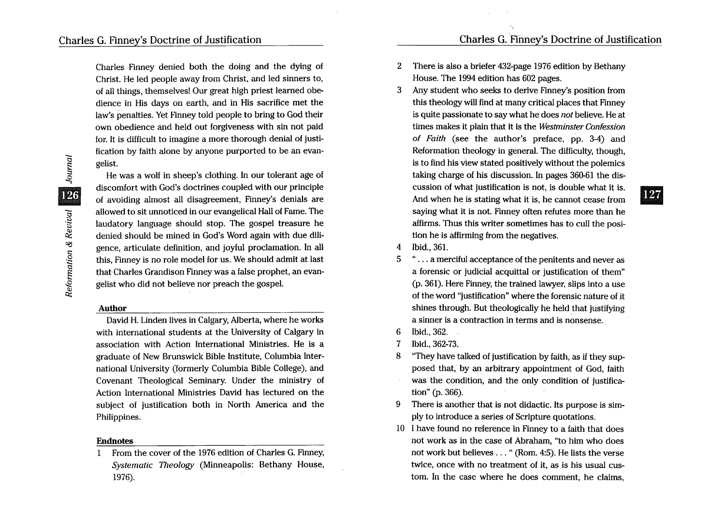**127** 

Charles Finney denied both the doing and the dying of Christ. He led people away from Christ, and led sinners to, of all things, themselves! Our great high priest learned obedience in His days on earth, and in His sacrifice met the law's penalties. Yet Finney told people to bring to God their own obedience and held out forgiveness with sin not paid for. It is difficult to imagine a more thorough denial of justification by faith alone by anyone purported to be an evangelist.

He was a wolf in sheep's clothing. In our tolerant age of discomfort with God's doctrines coupled with our principle of avoiding almost all disagreement, Finney's denials are allowed to sit unnoticed in our evangelical Hall of Fame. The laudatory language should stop. The gospel treasure he denied should be mined in God's Word again with due diligence, articulate definition, and joyful proclamation. In all this, Finney is no role model for us. We should admit at last that Charles Grandison Finney was a false prophet, an evangelist who did not believe nor preach the gospel.

## Author

David H. Linden lives in Calgary, Alberta, where he works with international students at the University of Calgary in association with Action International Ministries. He is a graduate of New Brunswick Bible Institute, Columbia International University (formerly Columbia Bible College), and Covenant Theological Seminary. Under the ministry of Action International Ministries David has lectured on the subject of justification both in North America and the Philippines.

# Endnotes

1 From the cover of the 1976 edition of Charles G. Finney, *Systematic Theology* (Minneapolis: Bethany House, 1976).

- 2 There is also a briefer 432-page 1976 edition by Bethany House. The 1994 edition has 602 pages.
- 3 Any student who seeks to derive Finney's position from this theology will find at many critical places that Finney is quite passionate to say what he does *not* believe. He at times makes it plain that it is the *Westminster Confession of Faith* (see the author's preface, pp. 3-4) and Reformation theology in general. The difficulty, though, is to find his View stated positively without the polemics taking charge of his discussion. In pages 360-61 the discussion of what justification is not, is double what it is. And when he is stating what it is, he cannot cease from saying what it is not. Finney often refutes more than he
- 4 Ibid., 361.
- 5 " ... a merciful acceptance of the penitents and never as a forensic or judicial acquittal or justification of them" (p. 361). Here Finney, the trained lawyer, slips into a use of the word "justification" where the forensic nature of it shines through. But theologically he held that justifying a sinner is a contraction in terms and is nonsense.

affirms. Thus this writer sometimes has to cull the posi-

tion he is affirming from the negatives.

- 6 Ibid., 362.
- 7 Ibid., 362-73.
- 8 "They have talked of justification by faith, as if they supposed that, by an arbitrary appointment of God, faith was the condition, and the only condition of justification" (p. 366).
- 9 There is another that is not didactic. Its purpose is simply to introduce a series of Scripture quotations.
- 10 I have found no reference in Finney to a faith that does not work as in the case of Abraham, "to him who does not work but believes ... " (Rom. 4:5). He lists the verse twice, once with no treatment of it, as is his usual custom. In the case where he does comment, he claims,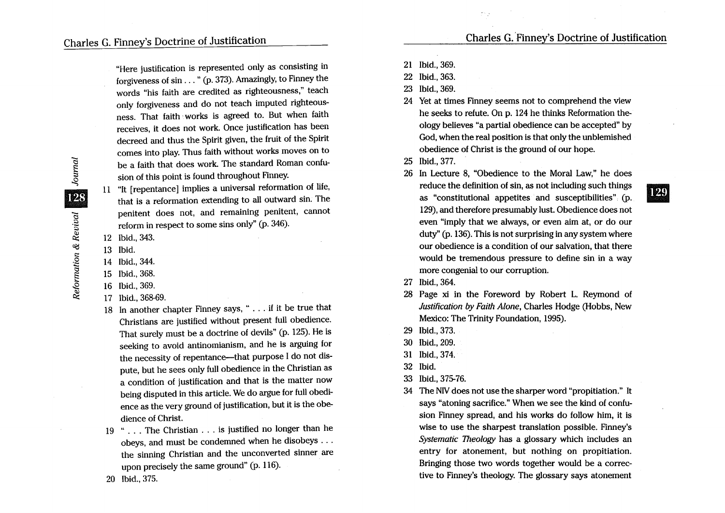"Here justification is represented only as consisting in forgiveness of sin ... " (p. 373). Amazingly, to Finney the words "his faith are credited as righteousness," teach only forgiveness and do not teach imputed righteousness. That faith·· works is agreed to. But when faith receives, it does not work. Once justification has been decreed and thus the Spirit given, the fruit of the Spirit comes into play. Thus faith without works moves on to be a faith that does work. The standard Roman confusion of this point is found throughout Finney.

11 "It [repentance] implies a universal reformation of life, that is a reformation extending to all outward sin. The penitent does not, and remaining penitent, cannot reform in respect to some sins only" (p. 346).

- 12 Ibid., 343.
- 13 Ibid.
- 14 Ibid., 344.
- 15 Ibid., 368.
- 16 Ibid., 369.
- 17 Ibid., 368-69.

20 Ibid., 375.

- 18 In another chapter Finney says, " .... if it be true that Christians are justified without present full obedience. That surely must be a doctrine of devils" (p. 125). He is seeking to avoid antinomianism, and he is arguing for the necessity of repentance-that purpose I do not dispute, but he sees only full obedience in the Christian as a condition of justification and that is the matter now being disputed in this article. We do argue for full obedience as the very ground of justification, but it is the obedience of Christ.
- 19 "... The Christian . . . is justified no longer than he obeys, and must be condemned when he disobeys ... the sinning Christian and the unconverted sinner are upon precisely the same ground" (p. 116).
- 21 Ibid., 369.
- 22 Ibid., 363.
- 23 Ibid., 369.
- 24 Yet at times Finney seems not to comprehend the view he seeks to refute. On p. 124 he thinks Reformation theology believes "a partial obedience can be accepted" by God, when the real position is that only the unblemished obedience of Christ is the ground of our hope.

25 Ibid., 377.

- 26 In Lecture 8, "Obedience to the Moral Law," he does reduce the definition of sin, as not including such things • as "constitutional appetites and susceptibilities" (p. 129), and therefore presumably lust. Obedience does not even "imply that we always, or even aim at, or do our duty" (p. 136). This is not surprising in any system where our obedience is a condition of our salvation, that there would be tremendous pressure to define sin in a way more congenial to our corruption.
- 27 Ibid., 364.
- 28 Page xi in the Foreword by Robert L. Reymond of Justification by Faith Alone, Charles Hodge (Hobbs, New Mexico: The Trinity Foundation, 1995).
- 29 Ibid., 373.
- 30 Ibid., 209.
- 31 Ibid., 374.
- 32 Ibid.
- 33 Ibid., 375-76.
- 34 The NIV does not use the sharper word "propitiation." It says "atoning sacrifice." When we see the kind of confusion Finney spread, and his works do follow him, it is wise to use the sharpest translation possible. Finney's Systematic Theology has a glossary which includes an entry for atonement, but nothing on propitiation. Bringing those two words together would be a corrective to Finney's theology. The glossary says atonement

Journal 128 Reformation & Revival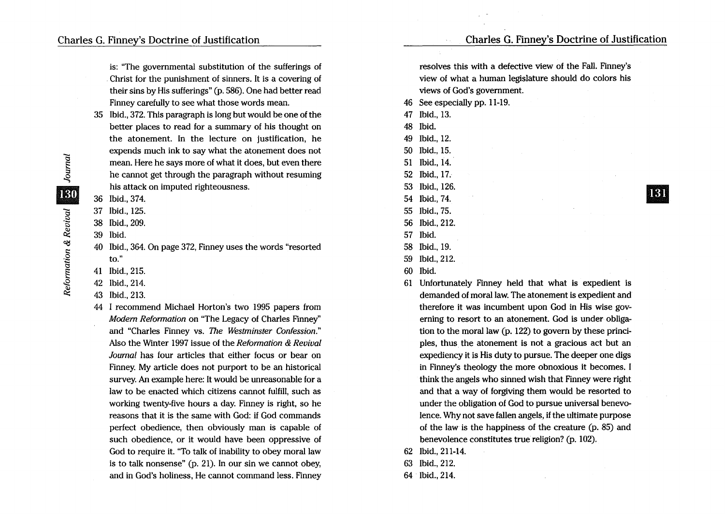is: "The governmental substitution of the sufferings of Christ for the punishment of sinners. It is a covering of their sins by His sufferings" (p. 586). One had better read Finney carefully to see what those words mean.

- 35 Ibid., 372. This paragraph is long but would be one of the better places to read for a summary of his thought on the atonement. In the lecture on justification, he expends much ink to say what the atonement does not mean. Here he says more of what it does, but even there he cannot get through the paragraph without resuming his attack on imputed righteousness.
- 36 Ibid., 374.
- 37 Ibid., 125.
- 38 Ibid., 209.
- 39 Ibid.
- 40 Ibid., 364. On page 372, Finney uses the words "resorted to."
- 41 Ibid., 215.
- 42 Ibid., 214.
- 43 Ibid., 213.
- 44 I recommend Michael Horton's two 1995 papers from Modern Reformation on "The Legacy of Charles Finney" and "Charles Finney vs. The Westminster Confession." Also the Winter 1997 issue of the Reformation & Revival Journal has four articles that either focus or bear on Finney. My article does not purport to be an historical survey. An example here: It would be unreasonable for a law to be enacted which citizens cannot fulfill, such as working twenty-five hours a day. Finney is right, so he reasons that it is the same with God: if God commands perfect obedience, then obviously man is capable of such obedience, or it would have been oppressive of God to require it. "To talk of inability to obey moral law is to talk nonsense" (p. 21). In our sin we cannot obey, and in God's holiness, He cannot command less. Finney

resolves this with a defective view of the Fall. Finney's view of what a human legislature should do colors his views of God's government.

46 See especially pp. 11-19.

 $\sim$  .

- 47 Ibid., 13.
- 48 Ibid.
- 49 Ibid., 12.
- 50 Ibid.,15.
- 51 Ibid., 14.
- 52 Ibid., 17.
- 53 Ibid., 126.
- 54 Ibid., 74. 55 Ibid., 75.
- 56 Ibid., 212.
- 57 Ibid.
- 58 Ibid., 19.
- 59 Ibid., 212.
- 60 Ibid.
- 61 Unfortunately Finney held that what is expedient is demanded of moral law. The atonement is expedient and therefore it was incumbent upon God in His wise governing to resort to an atonement. God is under obligation to the moral law (p. 122) to govern by these principles, thus the atonement is not a gracious act but an expediency it is His duty to pursue. The deeper one digs in Finney's theology the more obnoxious it becomes. I think the angels who sinned wish that Finney were right and that a way of forgiving them would be resorted to under the obligation of God to pursue universal benevolence. Why not save fallen angels, if the ultimate purpose of the law is the happiness of the creature (p. 85) and benevolence constitutes true religion? (p. 102).
- 62 Ibid., 211-14.
- 63 Ibid., 212.
- 64 Ibid., 214.

181